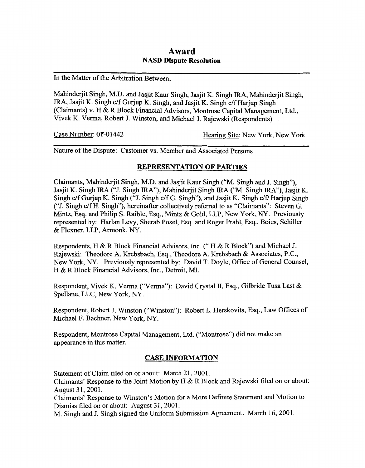# **Award NASD Dispute Resolution**

In the Matter of the Arbitration Between:

Mahinderjit Singh, M.D. and Jasjit Kaur Singh, Jasjit K. Singh IRA, Mahmderjit Singh, IRA, Jasjit K. Singh c/f Gurjup K. Singh, and Jasjit K. Singh c/f Harjup Singh (Claimants) v. H & R Block Financial Advisors, Montrose Capital Management, Ltd., Vivek K. Verma, Robert J. Winston, and Michael J. Rajewski (Respondents)

Case Number: 01'-01442 Hearing Site: New York, New York

Nature of the Dispute: Customer vs. Member and Associated Persons

## **REPRESENTATION OF PARTIES**

Claimants, Mahinderjit Singh, M.D. and Jasjit Kaur Singh ("M. Singh and J. Singh"), Jasjit K. Singh IRA ("J. Singh IRA"), Mahinderjit Singh IRA ("M. Singh IRA"), Jasjit K. Singh c/f Gurjup K. Singh ("J. Singh c/f G. Singh"), and Jasjit K. Singh c/f/ Harjup Singh ("J. Singh c/f H. Singh"), hereinafter collectively referred to as "Claimants": Steven G. Mintz, **Esq. and** Philip **S.** Raible, Esq., Mintz & Gold, LLP, New York, NY. Previously represented by: Harlan Levy, Sherab Posel, Esq. and Roger Prahl, **Esq.,** Boies, Schiller & Flexner, LLP, *Armonk, NY.* 

Respondents, H & R Block Financial Advisors, Inc. (" H & R Block") **and** Michael J. Rajewski: Theodore **A.** Krebsbach, **Esq.,** Theodore **A.** Krebsbach & Associates, P.C., New York, *NY.* Previously represented **by:** David T. Doyle, Office of General Counsel, H & R Block Financial Advisors, **Inc.,** Detroit, **MI.** 

Respondent, Vivek K. Verma ("Verma"): David CrystaI **11,** Esq., Gilbride Tusa Last & Spellane, LLC, New **York,** *NY.* 

Respondent, Robert J. Winston ("Winston"): Robert L. Herskovits, **Esq.,** Law Offices of Michael F. Bachner, New York, *NY.* 

Respondent, Montrose Capital Management, Ltd. ("Montrose") did not make **an**  appearance in this matter.

## **CASE INFORMATION**

Statement of Claim filed on or about: March 21, 2001.

Claimants' Response to the Joint Motion by H & R BIock and Rajewski filed on or about: August 31, 2001.

Claimants' Response to Winston's Motion for a More Definite Statement and Motion to Dismiss filed on or about: August 31, 2001.

M. Singh and J. Singh signed the Uniform Submission Agreement: March 16, 2001.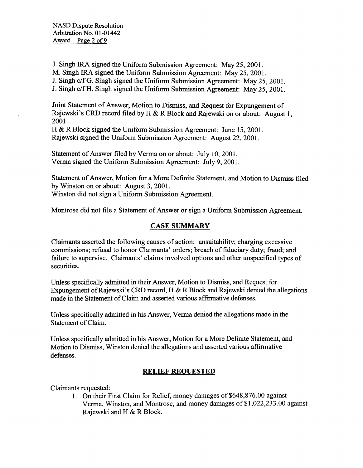J. Singh IRA signed the Uniform Submission Agreement: May 25,2001.

M. Singh IRA signed the Uniform Submission Agreement: May 25,2001.

J. Singh c/f *G.* Singh signed the Uniform Submission Agreement: May 25,2001.

J. Singh c/f H. Singh signed the Uniform Submission Agreement: May 25,2001.

Joint Statement of Answer, Motion to Dismiss, and Request for Expungement of Rajewski's CRD record filed by H & R Block and Rajewski on or about: August 1, 2001.

H & R Block sigped the Uniform Submission Agreement: June 15,2001. Rajewski signed the Uniform Submission Agreement: August 22,2001.

Statement of Answer filed by Verma on or about: July 10,2001. Verma signed the Uniform Submission Agreement: July 9,2001

Statement of Answer, Motion for a More Definite Statement, and Motion to Dismiss filed by Winston on or about: August 3,2001. Winston did not sign a Uniform Submission Agreement.

Montrose did not file a Statement of Answer or sign a Uniform Submission Agreement.

## **CASE SUMMARY**

Claimants asserted the following causes of action: unsuitability; charging excessive commissions; refusal to honor Claimants' orders; breach of fiduciary duty; fraud; and failure to supervise. Claimants' claims involved options and other unspecified types of securities.

Unless specifically admitted in their Answer, Motion to Dismiss, and Request for Expungement of Rajewski's CRD record, H & R Block and Rajewski denied the allegations made in the Statement of Claim and asserted various affirmative defenses.

Unless specifically admitted in his Answer, Verma denied the allegations made in the Statement **of** Claim.

Unless specifically admitted in his Answer, Motion for a More Definite Statement, and Motion to Dismiss, Winston denied the allegations and asserted various affirmative defenses.

## **RELIEF REOUESTED**

Claimants requested:

1. On their First Claim for Relief, money damages of **\$648,876.00** against Verma, Winston, and Montrose, and money damages of \$1,022,233.00 against Rajewski and H & R Block.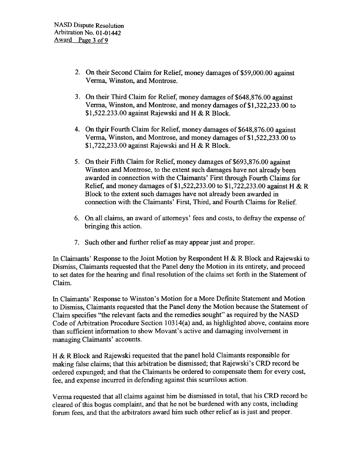- 2. On their Second Claim for Relief, money damages of \$59,000.00 against Verma, Winston, and Montrose.
- 3. On their Third Claim for Relief, money damages of \$648,876.00 against Verma, Winston, and Montrose, and money damages of \$1,322,233.00 to \$1,522.233.00 against Rajewski and H & R Block.
- 4. On their Fourth Claim for Relief, money damages of \$648,876.00 against Verma, Winston, and Montrose, and money damages of \$1,522,233.00 to \$1,722,233.00 against Rajewski and H & R Block.
- *5.* On their Fifth Claim for Relief, money damages of \$693,876.00 against Winston and Montrose, to the extent such damages have not already been awarded in connection with the Claimants' First through Fourth Claims for Relief, and money damages of \$1,522,233.00 to \$1,722,233.00 against H & R Block to the extent such damages have not already been awarded in connection with the Claimants' First, Third, and Fourth Claims for Relief.
- 6. On all claims, an award of attorneys' fees and costs, to defray the expense of bringing this action.
- 7. Such other and further relief as may appear just and proper.

In Claimants' Response to the Joint Motion by Respondent H & R Block and Rajewski to Dismiss, Claimants requested that the Panel deny the Motion in its entirety, and proceed to set dates for the hearing and final resolution of the claims set forth in the Statement of Claim.

In Claimants' Response to Winston's Motion for a More Definite Statement and Motion to Dismiss, Claimants requested that the Panel deny the Motion because the Statement of Claim specifies "the relevant facts and the remedies sought" as required by the NASD Code of Arbitration Procedure Section 103 14(a) and, as highlighted above, contains more than sufficient information to show Movant's active and damaging involvement in managing Claimants' accounts.

H & R Block and Rajewski requested that the panel hold Claimants responsible for making false claims; that this arbitration be dismissed; that Rajewski's CRD record be ordered expunged; and that the Claimants be ordered to compensate them for every cost, fee, and expense incurred in defending against this scurrilous action.

Verma requested that all claims against him be dismissed in total, that his CRD record be cleared of this bogus complaint, and that he not be burdened with any costs, including forum fees, and that the arbitrators award him such other relief as is just and proper.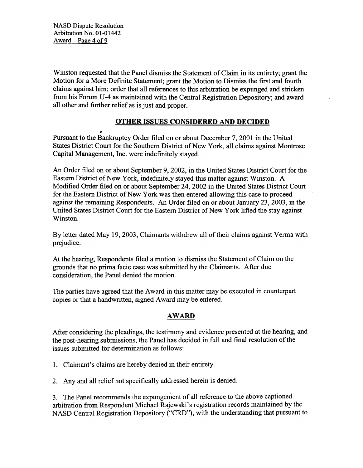Winston requested that the Panel dismiss the Statement of Claim in its entirety; grant the Motion for a More Definite Statement; grant the Motion to Dismiss the first and fourth claims against him; order that all references to this arbitration be expunged and stricken from his Forum U-4 as maintained with the Central Registration Depository; and award all other and further relief as is just and proper.

## **OTHER ISSUES CONSIDERED AND DECIDED**

# Pursuant to the Bankruptcy Order filed on or about December 7,2001 in the United States District Court for the Southern District of New York, all claims against Montrose Capital Management, Inc. were indefinitely stayed.

**An** Order filed on or about September 9,2002, in the United States District Court for the Eastern District of New York, indefinitely stayed this matter against Winston. A Modified Order filed on or about September 24,2002 in the United States District Court for the Eastern District of New York was then entered allowing this case to proceed against the remaining Respondents. **An** Order filed on or about January 23,2003, in the United States District Court for the Eastern District of New York lifted the stay against Winston.

By letter dated May 19,2003, Claimants withdrew all of their claims against Verma with prejudice.

At the hearing, Respondents filed a motion to dismiss the Statement of Claim on the grounds that no prima facie case was submitted by the Claimants. After due consideration, the Panel denied the motion.

The parties have agreed that the Award in this matter may be executed in counterpart copies or that a handwritten, signed Award may be entered.

## **AWARD**

After considering the pleadings, the testimony and evidence presented at the hearing, and the post-hearing submissions, the Panel has decided in full and final resolution of the issues submitted for determination as follows:

1. Claimant's claims are hereby denied in their entirety.

**2.** Any and all relief not specifically addressed herein is denied.

3. The Panel recommends the expungement of all reference to the above captioned arbitration from Respondent Michael Rajewski's registration records maintained by the NASD Central Registration Depository ("CRD"), with the understanding that pursuant to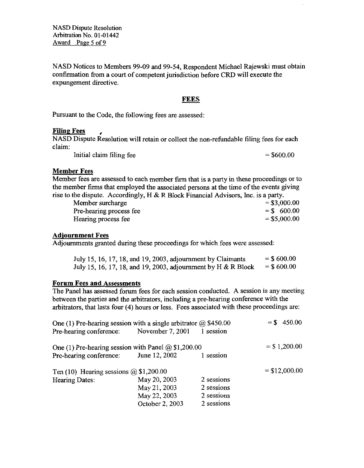**NASD** Dispute Resolution **Arbitration** No. **0** 1-0 1442 **Award** Pape *5* **of 9** 

NASD Notices to Members 99-09 and 99-54, Respondent Michael Rajewski must obtain confirmation from a court of competent jurisdiction before CRD will execute the expungement directive.

#### **FEES**

Pursuant to the Code, the following fees are assessed:

### **Filing Fees**

NASD Dispute Resolution will retain or collect the non-refundable filing fees for each claim:

Initial claim filing fee  $= $600.00$ 

### **Member Fees**

Member **fees** are assessed to each member firm that is a **party** in these proceedings or to the member firms that employed the associated persons at the time of the events giving rise to the dispute. Accordingly, **H** & R Block Financial Advisors, Inc. is **a party.** 

| Member surcharge        | $=$ \$3,000.00 |
|-------------------------|----------------|
| Pre-hearing process fee | $=$ \$ 600.00  |
| Hearing process fee     | $=$ \$5,000.00 |

#### **Adiournment Fees**

Adjournments granted during these proceedings for which fees were assessed:

| July 15, 16, 17, 18, and 19, 2003, adjournment by Claimants   | $=$ \$600.00 |
|---------------------------------------------------------------|--------------|
| July 15, 16, 17, 18, and 19, 2003, adjournment by H & R Block | $=$ \$600.00 |

#### **Forum Fees and Assessments**

The Panel has assessed forum fees for each session conducted. A session is any meeting between the parties and the arbitrators, including a pre-hearing conference with the arbitrators, that lasts four **(4)** hours **or** less. Fees associated with these proceedings are:

| One (1) Pre-hearing session with a single arbitrator $\omega$ \$450.00 |                 |            | $=$ \$ 450.00   |
|------------------------------------------------------------------------|-----------------|------------|-----------------|
| Pre-hearing conference: November 7, 2001                               |                 | 1 session  |                 |
| One (1) Pre-hearing session with Panel $\omega$ \$1,200.00             |                 |            | $=$ \$ 1,200.00 |
| Pre-hearing conference: June 12, 2002                                  |                 | 1 session  |                 |
| Ten (10) Hearing sessions $\omega$ \$1,200.00                          |                 |            | $=$ \$12,000.00 |
| Hearing Dates:                                                         | May 20, 2003    | 2 sessions |                 |
|                                                                        | May 21, 2003    | 2 sessions |                 |
|                                                                        | May 22, 2003    | 2 sessions |                 |
|                                                                        | October 2, 2003 | 2 sessions |                 |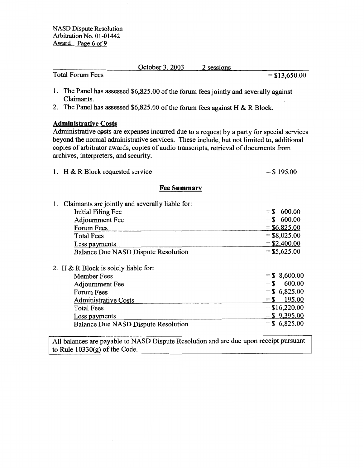|                         | October 3, 2003 | 2 sessions |                 |
|-------------------------|-----------------|------------|-----------------|
| <b>Total Forum Fees</b> |                 |            | $=$ \$13,650.00 |
|                         |                 |            |                 |

- **1.** The Panel has assessed \$6,825.00 **of** the **forum** fees jointly and severally against Claimants.
- 2. The Panel has assessed \$6,825.00 of the forum fees against H & R Block.

## **Administrative Costs**

Administrative cests are expenses incurred due to a request by a **party** for special services beyond the normal administrative services. These include, but not limited to, additional copies of arbitrator awards, copies of audio transcripts, retrieval **of** documents from archives, interpreters, and security.

|  | 1. H & R Block requested service | $=$ \$195.00 |
|--|----------------------------------|--------------|
|--|----------------------------------|--------------|

## **Fee Summary**

| 1. Claimants are jointly and severally liable for:                                                                                       |                                                                                              |
|------------------------------------------------------------------------------------------------------------------------------------------|----------------------------------------------------------------------------------------------|
| Initial Filing Fee                                                                                                                       | 600.00<br>$=$ \$                                                                             |
| Adjournment Fee                                                                                                                          | $=$ \$ 600.00                                                                                |
| Forum Fees                                                                                                                               | $=$ \$6,825.00                                                                               |
| <b>Total Fees</b>                                                                                                                        | $=$ \$8,025.00                                                                               |
| Less payments                                                                                                                            | $=$ \$2,400.00                                                                               |
| Balance Due NASD Dispute Resolution                                                                                                      | $= $5,625.00$                                                                                |
| 2. H & R Block is solely liable for:<br>Member Fees<br>Adjournment Fee<br>Forum Fees<br><b>Administrative Costs</b><br><b>Total Fees</b> | $=$ \$ 8,600.00<br>600.00<br>$=$ \$<br>$=$ \$ 6,825.00<br>195.00<br>$=$ S<br>$=$ \$16,220.00 |
|                                                                                                                                          | $=$ \$ 9,395.00                                                                              |
| Less payments                                                                                                                            | $=$ \$ 6,825.00                                                                              |
| Balance Due NASD Dispute Resolution                                                                                                      |                                                                                              |

All balances are payable to **NASD** Dispute Resolution and are due upon receipt pursuant **to** Rule 10330(g) of the Code.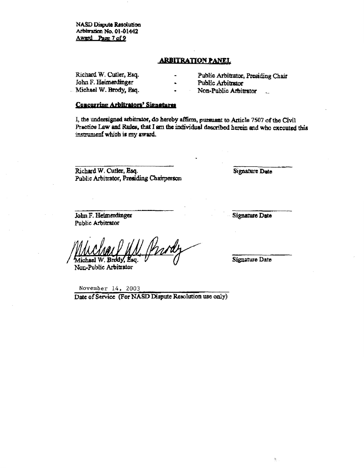**NASD Dispute Resolution** Arbitration No. 01-01442 Award Page 7 of 9

#### **ARBITRATION PANEL**

**Ricbard** W, Cutler, **Esq.** - **Public Arbitrator, Prcsidiag** *Chair*  **John F. Heimenlinger Michael W. Brody, Esq.** 

- 
- 

 $Non-Public Arbitrator$ 

### **Concurring Arbitrators' Signatures**

I, the undersigned arbitrator, do hereby affirm, pursuant to Article 7507 of the Civil Practice Law and Rules, that I am the individual described herein and who executed this instrument which is my award.

Richard W. Cutler, Esq. Public Arbitrator, Presiding Chairperson **Signature Date** 

John F. Heimerdinger Public Arbitrator

**Signature Date** 

Michael

Non-Public Arbitrator

Signature Date

**November** *14, 2003*  Date of Service (For NASD Dispute Resolution use only)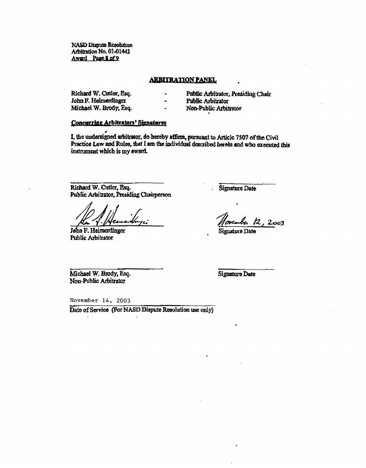**NASD Dispute Resolution** Arbitration No. 01-01442 Award Page 8 of 9

#### **ARBITRATION PANEL**

 $\overline{a}$ 

 $\overline{a}$ 

Richard W. Cutler, Esq. John F. Heimerdinger Michael W. Brody, Esq. Public Arbitrator, Presiding Chair

Public Arbitrator

Non-Public Arbitrator

#### **Concurring Arbitrators' Signatures**

I. the undersigned arbitrator, do hereby affirm, pursuant to Article 7507 of the Civil Practice Law and Rules, that I am the individual described herein and who executed this instrument which is my award.

Richard W. Cutler, Esq. Public Arbitrator, Presiding Chairperson

John F. Heimerdinger Public Arbitrator

Signature Date

,<br>weaker 12, 2003

Signature Date

Michael W. Brody, Esq. Non-Public Arbitrator

Signature Date

November 14, 2003

Date of Service (For NASD Dispute Resolution use only)